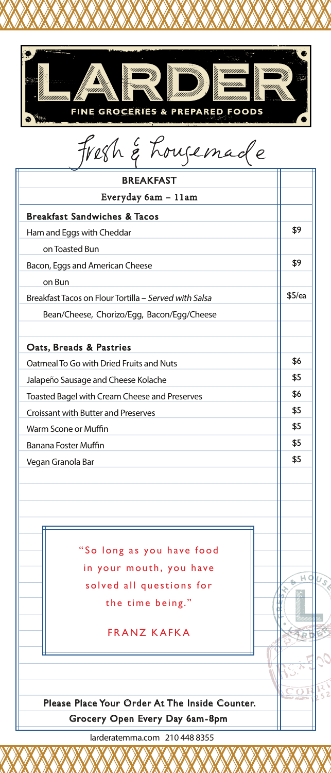

|  |  | fresh & Lousemade |
|--|--|-------------------|
|--|--|-------------------|

| <b>BREAKFAST</b>                                      |        |
|-------------------------------------------------------|--------|
| Everyday 6am - 11am                                   |        |
| <b>Breakfast Sandwiches &amp; Tacos</b>               |        |
| Ham and Eggs with Cheddar                             | \$9    |
| on Toasted Bun                                        |        |
| Bacon, Eggs and American Cheese                       | \$9    |
| on Bun                                                |        |
| Breakfast Tacos on Flour Tortilla - Served with Salsa | \$5/ea |
| Bean/Cheese, Chorizo/Egg, Bacon/Egg/Cheese            |        |
| Oats, Breads & Pastries                               |        |
| Oatmeal To Go with Dried Fruits and Nuts              | \$6    |
| Jalapeño Sausage and Cheese Kolache                   | \$5    |
| Toasted Bagel with Cream Cheese and Preserves         | \$6    |
| Croissant with Butter and Preserves                   | \$5    |
| Warm Scone or Muffin                                  | \$5    |
| Banana Foster Muffin                                  | \$5    |
| Vegan Granola Bar                                     | \$5    |
|                                                       |        |
|                                                       |        |
| "So long as you have food                             |        |
| in your mouth, you have                               |        |
| solved all questions for                              | HQ     |
| the time being."                                      |        |
| <b>FRANZ KAFKA</b>                                    |        |
|                                                       |        |
|                                                       |        |
| Please Place Your Order At The Inside Counter.        |        |
| Grocery Open Every Day 6am-8pm                        |        |

larderatemma.com 210 448 8355

 $\sqrt{2}$